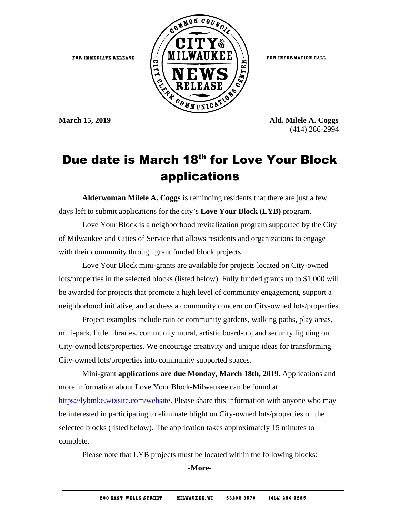

**March 15, 2019 Ald. Milele A. Coggs** (414) 286-2994

## Due date is March 18th for Love Your Block applications

**Alderwoman Milele A. Coggs** is reminding residents that there are just a few days left to submit applications for the city's **Love Your Block (LYB)** program.

Love Your Block is a neighborhood revitalization program supported by the City of Milwaukee and Cities of Service that allows residents and organizations to engage with their community through grant funded block projects.

Love Your Block mini-grants are available for projects located on City-owned lots/properties in the selected blocks (listed below). Fully funded grants up to \$1,000 will be awarded for projects that promote a high level of community engagement, support a neighborhood initiative, and address a community concern on City-owned lots/properties.

Project examples include rain or community gardens, walking paths, play areas, mini-park, little libraries, community mural, artistic board-up, and security lighting on City-owned lots/properties. We encourage creativity and unique ideas for transforming City-owned lots/properties into community supported spaces.

Mini-grant **applications are due Monday, March 18th, 2019.** Applications and more information about Love Your Block-Milwaukee can be found at [https://lybmke.wixsite.com/website.](https://lybmke.wixsite.com/website) Please share this information with anyone who may be interested in participating to eliminate blight on City-owned lots/properties on the selected blocks (listed below). The application takes approximately 15 minutes to complete.

Please note that LYB projects must be located within the following blocks:

**-More-**